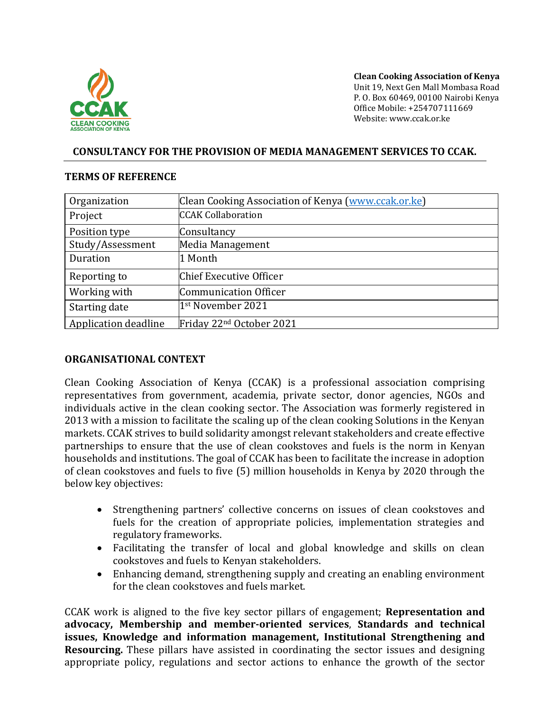

**Clean Cooking Association of Kenya** Unit 19, Next Gen Mall Mombasa Road P. O. Box 60469, 00100 Nairobi Kenya Office Mobile: +254707111669 Website: www.ccak.or.ke

#### **CONSULTANCY FOR THE PROVISION OF MEDIA MANAGEMENT SERVICES TO CCAK.**

#### **TERMS OF REFERENCE**

| Organization                | Clean Cooking Association of Kenya (www.ccak.or.ke) |
|-----------------------------|-----------------------------------------------------|
| Project                     | <b>CCAK Collaboration</b>                           |
| Position type               | Consultancy                                         |
| Study/Assessment            | Media Management                                    |
| Duration                    | 1 Month                                             |
| Reporting to                | Chief Executive Officer                             |
| Working with                | Communication Officer                               |
| Starting date               | 1st November 2021                                   |
| <b>Application deadline</b> | Friday 22 <sup>nd</sup> October 2021                |

#### **ORGANISATIONAL CONTEXT**

Clean Cooking Association of Kenya (CCAK) is a professional association comprising representatives from government, academia, private sector, donor agencies, NGOs and individuals active in the clean cooking sector. The Association was formerly registered in 2013 with a mission to facilitate the scaling up of the clean cooking Solutions in the Kenyan markets. CCAK strives to build solidarity amongst relevant stakeholders and create effective partnerships to ensure that the use of clean cookstoves and fuels is the norm in Kenyan households and institutions. The goal of CCAK has been to facilitate the increase in adoption of clean cookstoves and fuels to five (5) million households in Kenya by 2020 through the below key objectives:

- Strengthening partners' collective concerns on issues of clean cookstoves and fuels for the creation of appropriate policies, implementation strategies and regulatory frameworks.
- Facilitating the transfer of local and global knowledge and skills on clean cookstoves and fuels to Kenyan stakeholders.
- Enhancing demand, strengthening supply and creating an enabling environment for the clean cookstoves and fuels market.

CCAK work is aligned to the five key sector pillars of engagement; **Representation and advocacy, Membership and member-oriented services**, **Standards and technical issues, Knowledge and information management, Institutional Strengthening and Resourcing.** These pillars have assisted in coordinating the sector issues and designing appropriate policy, regulations and sector actions to enhance the growth of the sector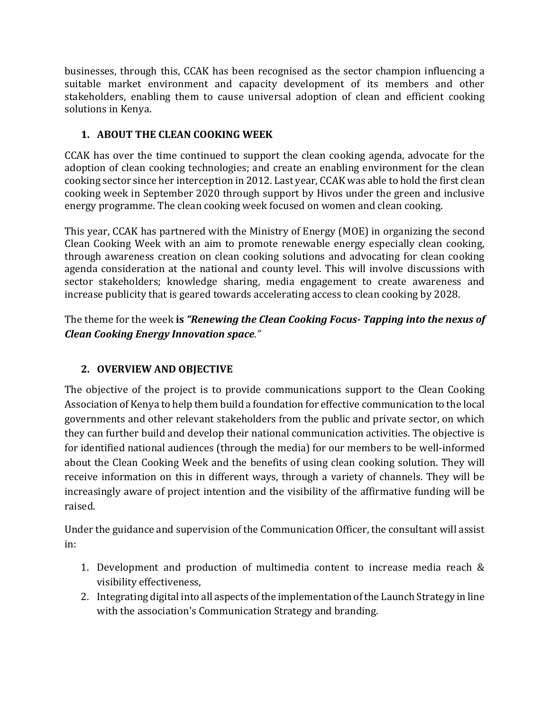businesses, through this, CCAK has been recognised as the sector champion influencing a suitable market environment and capacity development of its members and other stakeholders, enabling them to cause universal adoption of clean and efficient cooking solutions in Kenya.

# **1. ABOUT THE CLEAN COOKING WEEK**

CCAK has over the time continued to support the clean cooking agenda, advocate for the adoption of clean cooking technologies; and create an enabling environment for the clean cooking sector since her interception in 2012. Last year, CCAK was able to hold the first clean cooking week in September 2020 through support by Hivos under the green and inclusive energy programme. The clean cooking week focused on women and clean cooking.

This year, CCAK has partnered with the Ministry of Energy (MOE) in organizing the second Clean Cooking Week with an aim to promote renewable energy especially clean cooking, through awareness creation on clean cooking solutions and advocating for clean cooking agenda consideration at the national and county level. This will involve discussions with sector stakeholders; knowledge sharing, media engagement to create awareness and increase publicity that is geared towards accelerating access to clean cooking by 2028.

The theme for the week **is** *"Renewing the Clean Cooking Focus- Tapping into the nexus of Clean Cooking Energy Innovation space."*

# **2. OVERVIEW AND OBJECTIVE**

The objective of the project is to provide communications support to the Clean Cooking Association of Kenya to help them build a foundation for effective communication to the local governments and other relevant stakeholders from the public and private sector, on which they can further build and develop their national communication activities. The objective is for identified national audiences (through the media) for our members to be well-informed about the Clean Cooking Week and the benefits of using clean cooking solution. They will receive information on this in different ways, through a variety of channels. They will be increasingly aware of project intention and the visibility of the affirmative funding will be raised.

Under the guidance and supervision of the Communication Officer, the consultant will assist in:

- 1. Development and production of multimedia content to increase media reach & visibility effectiveness,
- 2. Integrating digital into all aspects of the implementation of the Launch Strategy in line with the association's Communication Strategy and branding.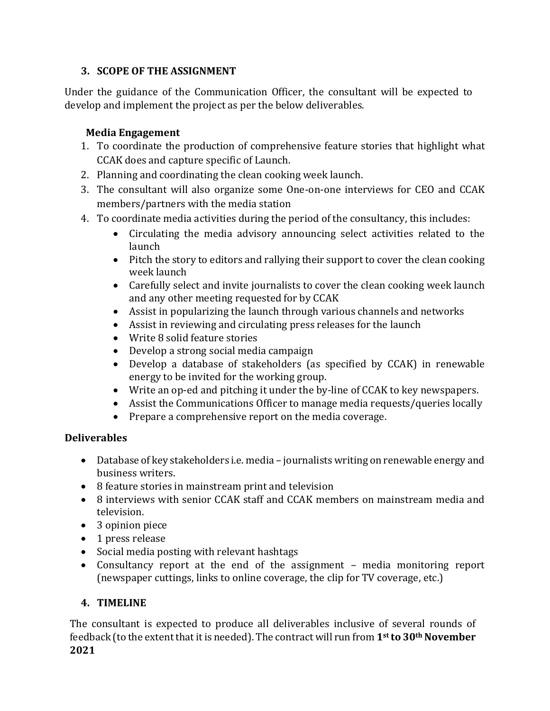### **3. SCOPE OF THE ASSIGNMENT**

Under the guidance of the Communication Officer, the consultant will be expected to develop and implement the project as per the below deliverables.

# **Media Engagement**

- 1. To coordinate the production of comprehensive feature stories that highlight what CCAK does and capture specific of Launch.
- 2. Planning and coordinating the clean cooking week launch.
- 3. The consultant will also organize some One-on-one interviews for CEO and CCAK members/partners with the media station
- 4. To coordinate media activities during the period of the consultancy, this includes:
	- Circulating the media advisory announcing select activities related to the launch
	- Pitch the story to editors and rallying their support to cover the clean cooking week launch
	- Carefully select and invite journalists to cover the clean cooking week launch and any other meeting requested for by CCAK
	- Assist in popularizing the launch through various channels and networks
	- Assist in reviewing and circulating press releases for the launch
	- Write 8 solid feature stories
	- Develop a strong social media campaign
	- Develop a database of stakeholders (as specified by CCAK) in renewable energy to be invited for the working group.
	- Write an op-ed and pitching it under the by-line of CCAK to key newspapers.
	- Assist the Communications Officer to manage media requests/queries locally
	- Prepare a comprehensive report on the media coverage.

# **Deliverables**

- Database of key stakeholders i.e. media journalists writing on renewable energy and business writers.
- 8 feature stories in mainstream print and television
- 8 interviews with senior CCAK staff and CCAK members on mainstream media and television.
- 3 opinion piece
- 1 press release
- Social media posting with relevant hashtags
- Consultancy report at the end of the assignment media monitoring report (newspaper cuttings, links to online coverage, the clip for TV coverage, etc.)

# **4. TIMELINE**

The consultant is expected to produce all deliverables inclusive of several rounds of feedback (to the extent that it is needed). The contract will run from **1st to 30th November 2021**